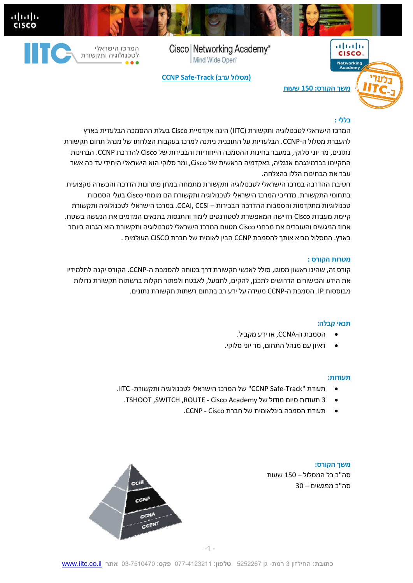Cisco | Networking Academy® Mind Wide Open



ahah.<br>Cisco

**CCNP Safe-Track (ערב מסלול (**

# $(11.1)$ **CISCO Networking**<br>**Academy משך הקורס: 150 שעות**

#### **כללי :**

המרכז הישראלי לטכנולוגיה ותקשורת (IITC (הינה אקדמיית Cisco בעלת ההסמכה הבלעדית בארץ להעברת מסלול ה-CCNP. הבלעדיות על התוכנית ניתנה למרכז בעקבות הצלחתו של מנהל תחום תקשורת נתונים, מר יוני סלוקי, במעבר בחינות ההסמכה הייחודיות והבכירות של Cisco להדרכת CCNP. הבחינות התקיימו בברמינגהם אנגליה, באקדמיה הראשית של Cisco, ומר סלוקי הוא הישראלי היחידי עד כה אשר עבר את הבחינות הללו בהצלחה.

חטיבת ההדרכה במרכז הישראלי לטכנולוגיה ותקשורת מתמחה במתן פתרונות הדרכה והכשרה מקצועית בתחומי התקשורת. מדריכי המרכז הישראלי לטכנולוגיה ותקשורת הם מומחי Cisco בעלי הסמכות טכנולוגיות מתקדמות והסמכות ההדרכה הבכירות – CCSI ,CCAI. במרכז הישראלי לטכנולוגיה ותקשורת קיימת מעבדת Cisco חדישה המאפשרת לסטודנטים לימוד והתנסות בתנאים המדמים את הנעשה בשטח. אחוז הניגשים והעוברים את מבחני Cisco מטעם המרכז הישראלי לטכנולוגיה ותקשורת הוא הגבוה ביותר בארץ. המסלול מביא אותך להסמכת CCNP הבין לאומית של חברת CISCO העולמית .

#### **מטרות הקורס :**

קורס זה, שהינו ראשון מסוגו, סולל לאנשי תקשורת דרך בטוחה להסמכת -ה CCNP. הקורס יקנה לתלמידיו את הידע והכישורים הדרושים לתכנן, להקים, לתפעל, לאבטח ולפתור תקלות ברשתות תקשורת גדולות מבוססות IP. הסמכת ה-CCNP מעידה על ידע רב בתחום רשתות תקשורת נתונים.

#### **תנאי קבלה:**

- הסמכת ה-CCNA, או ידע מקביל.
- ראיון עם מנהל התחום, מר יוני סלוקי.

#### **תעודות:**

- תעודת "Track-Safe CCNP "של המרכז הישראלי לטכנולוגיה ותקשורת IITC .
	- . TSHOOT ,SWITCH , ROUTE Cisco Academy של מודול סיום תעודות 3
		- תעודת הסמכה בינלאומית של חברת Cisco CCNP .

**משך הקורס:**  סה"כ כל המסלול – 150 שעות סה"כ מפגשים 30 –

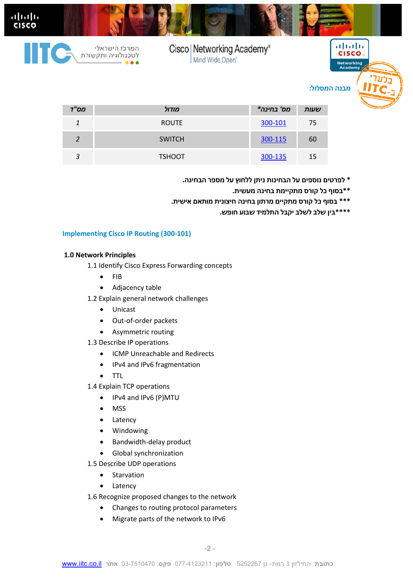

| .              | ,,,,,,,       |         | ,,,,,, |
|----------------|---------------|---------|--------|
|                | <b>ROUTE</b>  | 300-101 | 75     |
| ຳ              | <b>SWITCH</b> | 300-115 | 60     |
| $\overline{2}$ | <b>TSHOOT</b> | 300-135 | 15     |

- **\* לפרטים נוספים על הבחינות ניתן ללחוץ על מספר הבחינה.** 
	- **\*\*בסוף כל קורס מתקיימת בחינה מעשית.**
- **\*\*\* בסוף כל קורס מתקיים מרתון בחינה חיצונית מותאם אישית.** 
	- **\*\*\*\*בין שלב לשלב יקבל התלמיד שבוע חופש.**

#### **Implementing Cisco IP Routing (300-101)**

#### **1.0 Network Principles**

- 1.1 Identify Cisco Express Forwarding concepts
	- $\bullet$  FIB
	- Adjacency table
- 1.2 Explain general network challenges
	- Unicast
	- Out-of-order packets
	- Asymmetric routing
- 1.3 Describe IP operations
	- ICMP Unreachable and Redirects
	- IPv4 and IPv6 fragmentation
	- TTL
- 1.4 Explain TCP operations
	- IPv4 and IPv6 (P)MTU
	- MSS
	- Latency
	- Windowing
	- Bandwidth-delay product
	- Global synchronization
- 1.5 Describe UDP operations
	- Starvation
	- Latency
- 1.6 Recognize proposed changes to the network
	- Changes to routing protocol parameters
	- Migrate parts of the network to IPv6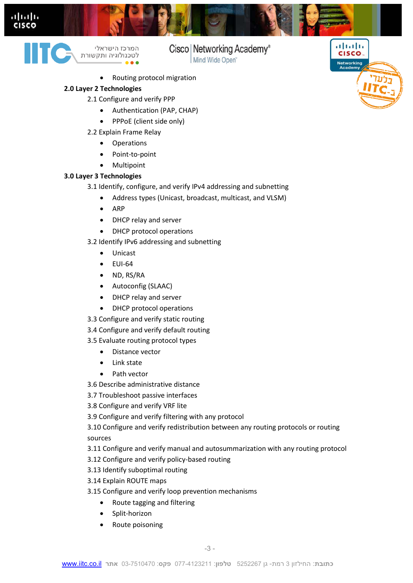



המרכז הישראלי לטכנולוגיה ותקשורת

### Cisco | Networking Academy®

بتلبيلية

**CISCO** 

Networking<br>Academy

Mind Wide Open<sup>®</sup>

Routing protocol migration

#### **Layer 2 Technologies 2.0**

- 2.1 Configure and verify PPP
	- Authentication (PAP, CHAP)
	- PPPoE (client side only)
- 2.2 Explain Frame Relay
	- Operations
	- Point-to-point
	- Multipoint

#### **Layer 3 Technologies 3.0**

- 3.1 Identify, configure, and verify IPv4 addressing and subnetting
	- Address types (Unicast, broadcast, multicast, and VLSM)
	- ARP
	- DHCP relay and server
	- DHCP protocol operations

#### 3.2 Identify IPv6 addressing and subnetting

- Unicast
- $\bullet$  FUI-64
- ND, RS/RA
- Autoconfig (SLAAC)
- DHCP relay and server
- DHCP protocol operations
- 3.3 Configure and verify static routing
- 3.4 Configure and verify default routing

#### 3.5 Evaluate routing protocol types

- Distance vector
- Link state
- Path vector
- 3.6 Describe administrative distance
- 3.7 Troubleshoot passive interfaces
- 3.8 Configure and verify VRF lite
- 3.9 Configure and verify filtering with any protocol

3.10 Configure and verify redistribution between any routing protocols or routing sources

3.11 Configure and verify manual and autosummarization with any routing protocol

- 3.12 Configure and verify policy-based routing
- 3.13 Identify suboptimal routing
- 3.14 Explain ROUTE maps
- 3.15 Configure and verify loop prevention mechanisms
	- Route tagging and filtering
	- Split-horizon
	- Route poisoning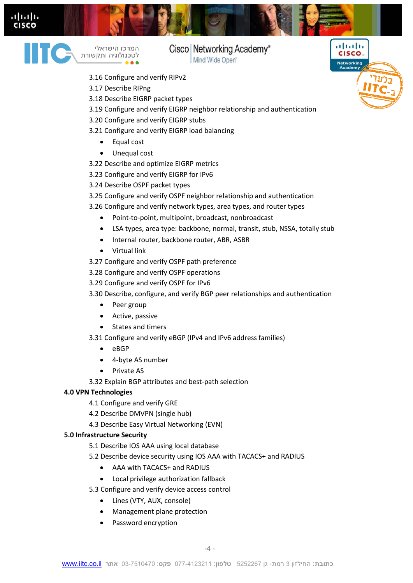



המרכז הישראלי ……<br>לטכנולוגיה ותקשורת

# Cisco | Networking Academy®

بالبالب

**CISCO** 

**Networking** 

Mind Wide Open<sup>®</sup>

- 3.16 Configure and verify RIPv2
- 3.17 Describe RIPng
- 3.18 Describe EIGRP packet types
- 3.19 Configure and verify EIGRP neighbor relationship and authentication
- 3.20 Configure and verify EIGRP stubs
- 3.21 Configure and verify EIGRP load balancing
	- Equal cost
	- Unequal cost
- 3.22 Describe and optimize EIGRP metrics
- 3.23 Configure and verify EIGRP for IPv6
- 3.24 Describe OSPF packet types
- 3.25 Configure and verify OSPF neighbor relationship and authentication
- 3.26 Configure and verify network types, area types, and router types
	- Point-to-point, multipoint, broadcast, nonbroadcast
	- LSA types, area type: backbone, normal, transit, stub, NSSA, totally stub
	- Internal router, backbone router, ABR, ASBR
	- Virtual link
- 3.27 Configure and verify OSPF path preference
- 3.28 Configure and verify OSPF operations
- 3.29 Configure and verify OSPF for IPv6
- 3.30 Describe, configure, and verify BGP peer relationships and authentication
	- Peer group
	- Active, passive
	- States and timers
- 3.31 Configure and verify eBGP (IPv4 and IPv6 address families)
	- $e$  eBGP
	- 4-byte AS number
	- Private AS
- 3.32 Explain BGP attributes and best-path selection

#### **4.0 VPN Technologies**

- 4.1 Configure and verify GRE
- 4.2 Describe DMVPN (single hub)
- 4.3 Describe Easy Virtual Networking (EVN)

#### **5.0 Infrastructure Security**

- 5.1 Describe IOS AAA using local database
- 5.2 Describe device security using IOS AAA with TACACS+ and RADIUS
	- AAA with TACACS+ and RADIUS
	- Local privilege authorization fallback
- 5.3 Configure and verify device access control
	- Lines (VTY, AUX, console)
	- Management plane protection
	- Password encryption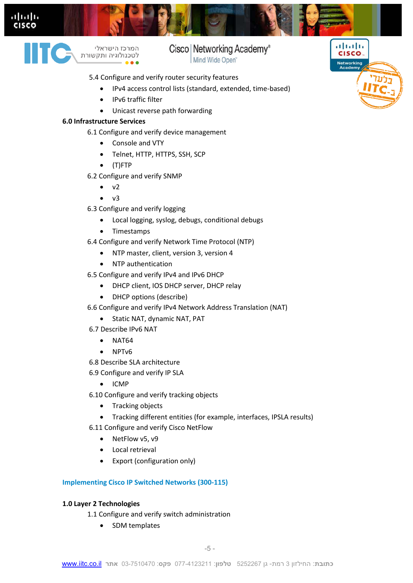



המרכז הישראלי לטכנולוגיה ותקשורת Cisco | Networking Academy®

بتلبيلية

**CISCO** 

**Networking** 

Mind Wide Open<sup>®</sup>

- 5.4 Configure and verify router security features
	- IPv4 access control lists (standard, extended, time-based)
	- IPv6 traffic filter
	- Unicast reverse path forwarding

#### **6.0 Infrastructure Services**

6.1 Configure and verify device management

- Console and VTY
- Telnet, HTTP, HTTPS, SSH, SCP
- (T)FTP
- 6.2 Configure and verify SNMP
	- $\bullet$  v<sub>2</sub>
	- $\bullet$   $\vee$ 3
- 6.3 Configure and verify logging
	- Local logging, syslog, debugs, conditional debugs
	- Timestamps
- 6.4 Configure and verify Network Time Protocol (NTP)
	- NTP master, client, version 3, version 4
	- NTP authentication
- 6.5 Configure and verify IPv4 and IPv6 DHCP
	- DHCP client, IOS DHCP server, DHCP relay
	- DHCP options (describe)
- 6.6 Configure and verify IPv4 Network Address Translation (NAT)
	- Static NAT, dynamic NAT, PAT
- Describe IPv6 NAT 6.7
	- $\bullet$  NAT64
	- NPTv6
- 6.8 Describe SLA architecture
- 6.9 Configure and verify IP SLA
	- $\bullet$  ICMP
- 6.10 Configure and verify tracking objects
	- Tracking objects
	- Tracking different entities (for example, interfaces, IPSLA results)
- 6.11 Configure and verify Cisco NetFlow
	- NetFlow v5, v9
	- Local retrieval
	- Export (configuration only)

#### **Implementing Cisco IP Switched Networks (300-115)**

#### **1.0 Layer 2 Technologies**

- 1.1 Configure and verify switch administration
	- SDM templates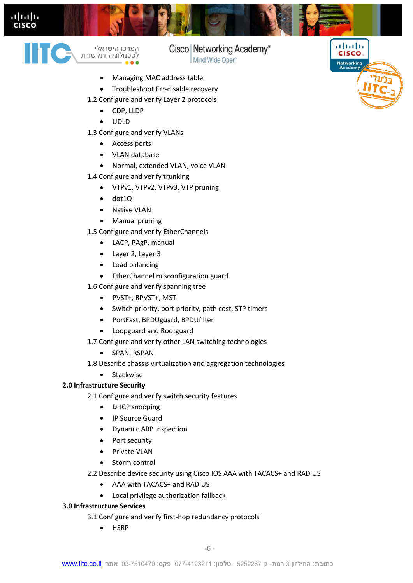



המרכז הישראלי 

## Cisco | Networking Academy®

بتلبيلية

CISCO.

Networking<br>Academy

Mind Wide Open<sup>®</sup>

- Managing MAC address table
- Troubleshoot Err-disable recovery
- 1.2 Configure and verify Layer 2 protocols
	- CDP, LLDP
	- UDLD
- 1.3 Configure and verify VLANs
	- Access ports
	- VLAN database
	- Normal, extended VLAN, voice VLAN
- 1.4 Configure and verify trunking
	- VTPv1, VTPv2, VTPv3, VTP pruning
	- $\bullet$  dot10
	- Native VLAN
	- Manual pruning
- 1.5 Configure and verify EtherChannels
	- LACP, PAgP, manual
	- Layer 2, Layer 3
	- Load balancing
	- **•** EtherChannel misconfiguration guard
- 1.6 Configure and verify spanning tree
	- PVST+, RPVST+, MST
	- Switch priority, port priority, path cost, STP timers
	- PortFast, BPDUguard, BPDUfilter
	- Loopguard and Rootguard
- 1.7 Configure and verify other LAN switching technologies
	- SPAN, RSPAN
- 1.8 Describe chassis virtualization and aggregation technologies
	- Stackwise

#### **2.0 Infrastructure Security**

- 2.1 Configure and verify switch security features
	- DHCP snooping
	- IP Source Guard
	- Dynamic ARP inspection
	- Port security
	- Private VLAN
	- Storm control
- 2.2 Describe device security using Cisco IOS AAA with TACACS+ and RADIUS
	- AAA with TACACS+ and RADIUS
	- Local privilege authorization fallback

#### **3.0 Infrastructure Services**

- 3.1 Configure and verify first-hop redundancy protocols
	- HSRP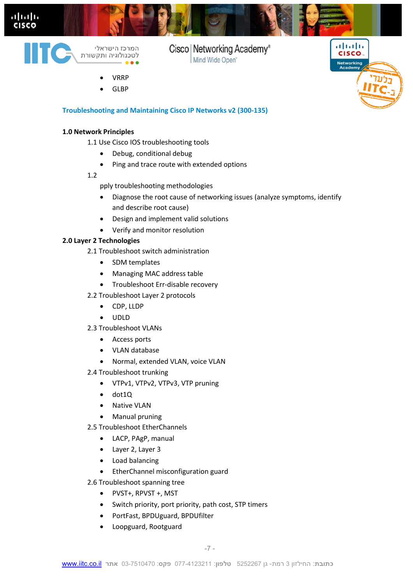



Cisco | Networking Academy® Mind Wide Open<sup>®</sup>

- VRRP
- GLBP



#### **Troubleshooting and Maintaining Cisco IP Networks v2 (300-135)**

#### **1.0 Network Principles**

- 1.1 Use Cisco IOS troubleshooting tools
	- Debug, conditional debug
	- Ping and trace route with extended options

#### 1.2

- pply troubleshooting methodologies
- Diagnose the root cause of networking issues (analyze symptoms, identify and describe root cause)
- Design and implement valid solutions
- Verify and monitor resolution

#### **2.0 Layer 2 Technologies**

- 2.1 Troubleshoot switch administration
	- SDM templates
	- Managing MAC address table
	- Troubleshoot Err-disable recovery
- 2.2 Troubleshoot Layer 2 protocols
	- CDP, LLDP
	- $\bullet$  UDID
- 2.3 Troubleshoot VLANs
	- Access ports
	- VLAN database
	- Normal, extended VLAN, voice VLAN
- 2.4 Troubleshoot trunking
	- VTPv1, VTPv2, VTPv3, VTP pruning
	- $\bullet$  dot10
	- Native VLAN
	- Manual pruning
- 2.5 Troubleshoot EtherChannels
	- LACP, PAgP, manual
	- Layer 2, Layer 3
	- Load balancing
	- **•** EtherChannel misconfiguration guard
- 2.6 Troubleshoot spanning tree
	- PVST+, RPVST +, MST
	- Switch priority, port priority, path cost, STP timers
	- PortFast, BPDUguard, BPDUfilter
	- Loopguard, Rootguard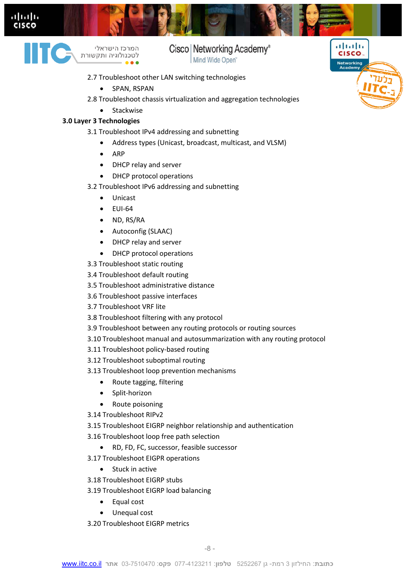



המרכז הישראלי  Cisco | Networking Academy®

بتلبيلية

**CISCO** 

**Networking** 

- Mind Wide Open<sup>®</sup>
- 2.7 Troubleshoot other LAN switching technologies
	- SPAN, RSPAN
- 2.8 Troubleshoot chassis virtualization and aggregation technologies
	- Stackwise

#### **3.0 Layer 3 Technologies**

3.1 Troubleshoot IPv4 addressing and subnetting

- Address types (Unicast, broadcast, multicast, and VLSM)
- $\bullet$  ARP
- DHCP relay and server
- DHCP protocol operations
- 3.2 Troubleshoot IPv6 addressing and subnetting
	- Unicast
	- $\bullet$  EUI-64
	- ND, RS/RA
	- Autoconfig (SLAAC)
	- DHCP relay and server
	- DHCP protocol operations
- 3.3 Troubleshoot static routing
- 3.4 Troubleshoot default routing
- 3.5 Troubleshoot administrative distance
- 3.6 Troubleshoot passive interfaces
- 3.7 Troubleshoot VRF lite
- 3.8 Troubleshoot filtering with any protocol
- 3.9 Troubleshoot between any routing protocols or routing sources
- 3.10 Troubleshoot manual and autosummarization with any routing protocol
- 3.11 Troubleshoot policy-based routing
- 3.12 Troubleshoot suboptimal routing
- 3.13 Troubleshoot loop prevention mechanisms
	- Route tagging, filtering
	- Split-horizon
	- Route poisoning
- 3.14 Troubleshoot RIPv2
- 3.15 Troubleshoot EIGRP neighbor relationship and authentication
- 3.16 Troubleshoot loop free path selection
	- RD, FD, FC, successor, feasible successor
- 3.17 Troubleshoot EIGPR operations
	- Stuck in active
- 3.18 Troubleshoot EIGRP stubs
- 3.19 Troubleshoot EIGRP load balancing
	- Equal cost
	- Unequal cost
- 3.20 Troubleshoot EIGRP metrics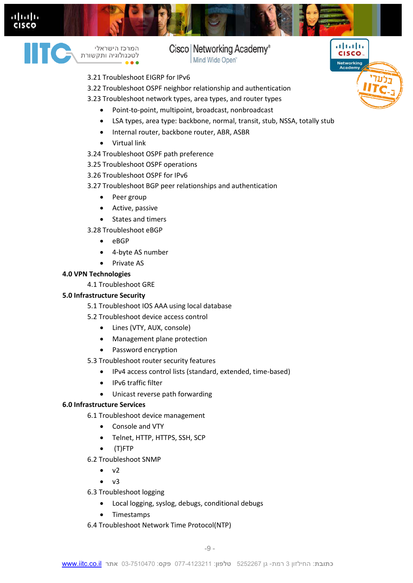



המרכז הישראלי ……<br>לטכנולוגיה ותקשורת

## Cisco | Networking Academy®

بتلبيلية

**CISCO** 

**Networking** 

Mind Wide Open<sup>®</sup>

- 3.21 Troubleshoot EIGRP for IPv6
- 3.22 Troubleshoot OSPF neighbor relationship and authentication
- 3.23 Troubleshoot network types, area types, and router types
	- Point-to-point, multipoint, broadcast, nonbroadcast
	- LSA types, area type: backbone, normal, transit, stub, NSSA, totally stub
	- Internal router, backbone router, ABR, ASBR
	- Virtual link
- 3.24 Troubleshoot OSPF path preference
- 3.25 Troubleshoot OSPF operations
- 3.26 Troubleshoot OSPF for IPv6
- 3.27 Troubleshoot BGP peer relationships and authentication
	- Peer group
	- Active, passive
	- States and timers

3.28 Troubleshoot eBGP

- $e$  eBGP
- 4-byte AS number
- Private AS

#### **4.0 VPN Technologies**

4.1 Troubleshoot GRE

#### **5.0 Infrastructure Security**

- 5.1 Troubleshoot IOS AAA using local database
- 5.2 Troubleshoot device access control
	- Lines (VTY, AUX, console)
	- Management plane protection
	- Password encryption
- 5.3 Troubleshoot router security features
	- IPv4 access control lists (standard, extended, time-based)
	- IPv6 traffic filter
	- Unicast reverse path forwarding

#### **6.0 Infrastructure Services**

- 6.1 Troubleshoot device management
	- Console and VTY
	- Telnet, HTTP, HTTPS, SSH, SCP
	- (T)FTP
- 6.2 Troubleshoot SNMP
	- $\bullet$  v2
	- $\bullet$  v3
- 6.3 Troubleshoot logging
	- Local logging, syslog, debugs, conditional debugs
	- Timestamps
- 6.4 Troubleshoot Network Time Protocol(NTP)